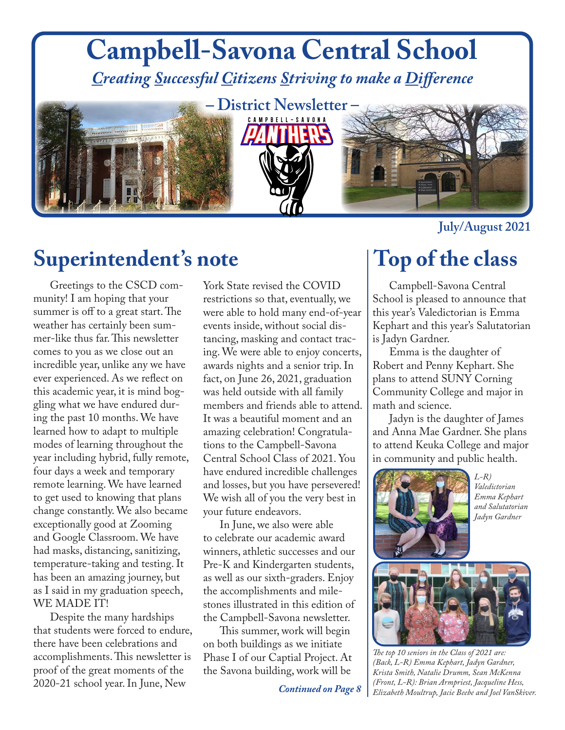# **July/August 2021 Campbell-Savona Central School** *Creating Successful Citizens Striving to make a Difference –* **District Newsletter –** CAMPBELL-SAVONA

### **Superintendent's note**

Greetings to the CSCD community! I am hoping that your summer is off to a great start. The weather has certainly been summer-like thus far. This newsletter comes to you as we close out an incredible year, unlike any we have ever experienced. As we reflect on this academic year, it is mind boggling what we have endured during the past 10 months. We have learned how to adapt to multiple modes of learning throughout the year including hybrid, fully remote, four days a week and temporary remote learning. We have learned to get used to knowing that plans change constantly. We also became exceptionally good at Zooming and Google Classroom. We have had masks, distancing, sanitizing, temperature-taking and testing. It has been an amazing journey, but as I said in my graduation speech, WE MADE IT!

Despite the many hardships that students were forced to endure, there have been celebrations and accomplishments. This newsletter is proof of the great moments of the 2020-21 school year. In June, New

York State revised the COVID restrictions so that, eventually, we were able to hold many end-of-year events inside, without social distancing, masking and contact tracing. We were able to enjoy concerts, awards nights and a senior trip. In fact, on June 26, 2021, graduation was held outside with all family members and friends able to attend. It was a beautiful moment and an amazing celebration! Congratulations to the Campbell-Savona Central School Class of 2021. You have endured incredible challenges and losses, but you have persevered! We wish all of you the very best in your future endeavors.

In June, we also were able to celebrate our academic award winners, athletic successes and our Pre-K and Kindergarten students, as well as our sixth-graders. Enjoy the accomplishments and milestones illustrated in this edition of the Campbell-Savona newsletter.

This summer, work will begin on both buildings as we initiate Phase I of our Captial Project. At the Savona building, work will be

*Continued on Page 8*

## **Top of the class**

Campbell-Savona Central School is pleased to announce that this year's Valedictorian is Emma Kephart and this year's Salutatorian is Jadyn Gardner.

Emma is the daughter of Robert and Penny Kephart. She plans to attend SUNY Corning Community College and major in math and science.

Jadyn is the daughter of James and Anna Mae Gardner. She plans to attend Keuka College and major in community and public health.



*L-R) Valedictorian Emma Kephart and Salutatorian Jadyn Gardner*



*The top 10 seniors in the Class of 2021 are: (Back, L-R) Emma Kephart, Jadyn Gardner, Krista Smith, Natalie Drumm, Sean McKenna (Front, L-R): Brian Armpriest, Jacqueline Hess, Elizabeth Moultrup, Jacie Beebe and Joel VanSkiver.*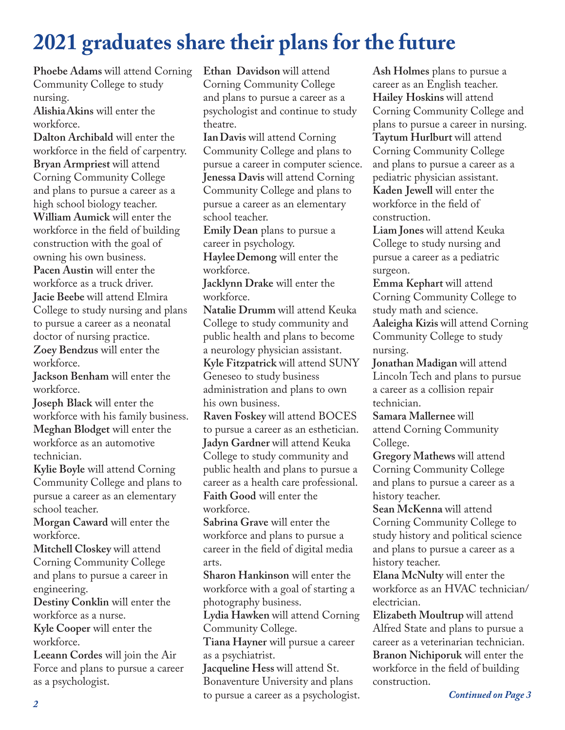### **2021 graduates share their plans for the future**

**Phoebe Adams** will attend Corning Community College to study nursing.

**AlishiaAkins** will enter the workforce.

**Dalton Archibald** will enter the workforce in the field of carpentry. **Bryan Armpriest** will attend Corning Community College and plans to pursue a career as a high school biology teacher. **William Aumick** will enter the workforce in the field of building construction with the goal of owning his own business. **Pacen Austin** will enter the workforce as a truck driver. **Jacie Beebe** will attend Elmira College to study nursing and plans to pursue a career as a neonatal doctor of nursing practice. **Zoey Bendzus** will enter the workforce.

**Jackson Benham** will enter the workforce.

**Joseph Black** will enter the workforce with his family business. **Meghan Blodget** will enter the workforce as an automotive technician.

**Kylie Boyle** will attend Corning Community College and plans to pursue a career as an elementary school teacher.

**Morgan Caward** will enter the workforce.

**Mitchell Closkey** will attend Corning Community College and plans to pursue a career in engineering.

**Destiny Conklin** will enter the workforce as a nurse.

**Kyle Cooper** will enter the workforce.

**Leeann Cordes** will join the Air Force and plans to pursue a career as a psychologist.

**Ethan Davidson** will attend Corning Community College and plans to pursue a career as a psychologist and continue to study theatre.

**IanDavis** will attend Corning Community College and plans to pursue a career in computer science. **Jenessa Davis** will attend Corning Community College and plans to pursue a career as an elementary school teacher.

**Emily Dean** plans to pursue a career in psychology.

**HayleeDemong** will enter the workforce.

**Jacklynn Drake** will enter the workforce.

**Natalie Drumm** will attend Keuka College to study community and public health and plans to become a neurology physician assistant. **Kyle Fitzpatrick** will attend SUNY Geneseo to study business administration and plans to own his own business.

**Raven Foskey** will attend BOCES to pursue a career as an esthetician. **Jadyn Gardner** will attend Keuka College to study community and public health and plans to pursue a career as a health care professional. **Faith Good** will enter the

workforce.

**Sabrina Grave** will enter the workforce and plans to pursue a career in the field of digital media arts.

**Sharon Hankinson** will enter the workforce with a goal of starting a photography business.

**Lydia Hawken** will attend Corning Community College.

**Tiana Hayner** will pursue a career as a psychiatrist.

**Jacqueline Hess** will attend St. Bonaventure University and plans to pursue a career as a psychologist. **Ash Holmes** plans to pursue a career as an English teacher. **Hailey Hoskins** will attend Corning Community College and plans to pursue a career in nursing. **Taytum Hurlburt** will attend Corning Community College and plans to pursue a career as a pediatric physician assistant. **Kaden Jewell** will enter the workforce in the field of construction.

**Liam Jones** will attend Keuka College to study nursing and pursue a career as a pediatric surgeon.

**Emma Kephart** will attend Corning Community College to study math and science. **Aaleigha Kizis** will attend Corning Community College to study nursing.

**Jonathan Madigan** will attend Lincoln Tech and plans to pursue a career as a collision repair technician.

**Samara Mallernee** will attend Corning Community College.

**Gregory Mathews** will attend Corning Community College and plans to pursue a career as a history teacher.

**Sean McKenna** will attend Corning Community College to study history and political science and plans to pursue a career as a history teacher.

**Elana McNulty** will enter the workforce as an HVAC technician/ electrician.

**Elizabeth Moultrup** will attend Alfred State and plans to pursue a career as a veterinarian technician. **Branon Nichiporuk** will enter the workforce in the field of building construction.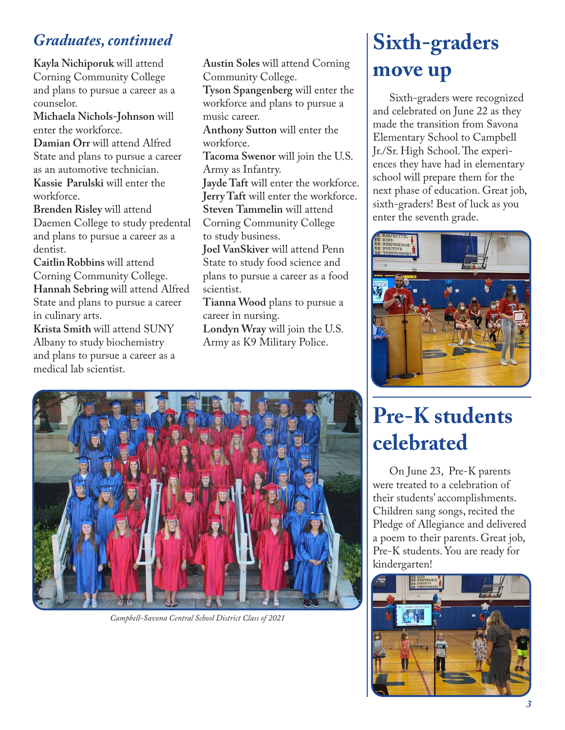#### *Graduates, continued*

**Kayla Nichiporuk** will attend Corning Community College and plans to pursue a career as a counselor.

**Michaela Nichols-Johnson** will enter the workforce.

**Damian Orr** will attend Alfred State and plans to pursue a career as an automotive technician. **Kassie Parulski** will enter the workforce.

**Brenden Risley** will attend Daemen College to study predental and plans to pursue a career as a dentist.

**CaitlinRobbins** will attend Corning Community College. **Hannah Sebring** will attend Alfred State and plans to pursue a career in culinary arts.

**Krista Smith** will attend SUNY Albany to study biochemistry and plans to pursue a career as a medical lab scientist.

**Austin Soles** will attend Corning Community College.

**Tyson Spangenberg** will enter the workforce and plans to pursue a music career.

**Anthony Sutton** will enter the workforce.

**Tacoma Swenor** will join the U.S. Army as Infantry.

**Jayde Taft** will enter the workforce. **Jerry Taft** will enter the workforce. **Steven Tammelin** will attend Corning Community College to study business.

**Joel VanSkiver** will attend Penn State to study food science and plans to pursue a career as a food scientist.

**Tianna Wood** plans to pursue a career in nursing.

**Londyn Wray** will join the U.S. Army as K9 Military Police.



Sixth-graders were recognized and celebrated on June 22 as they made the transition from Savona Elementary School to Campbell Jr./Sr. High School. The experiences they have had in elementary school will prepare them for the next phase of education. Great job, sixth-graders! Best of luck as you enter the seventh grade.





*Campbell-Savona Central School District Class of 2021*

### **Pre-K students celebrated**

On June 23, Pre-K parents were treated to a celebration of their students' accomplishments. Children sang songs, recited the Pledge of Allegiance and delivered a poem to their parents. Great job, Pre-K students. You are ready for kindergarten!

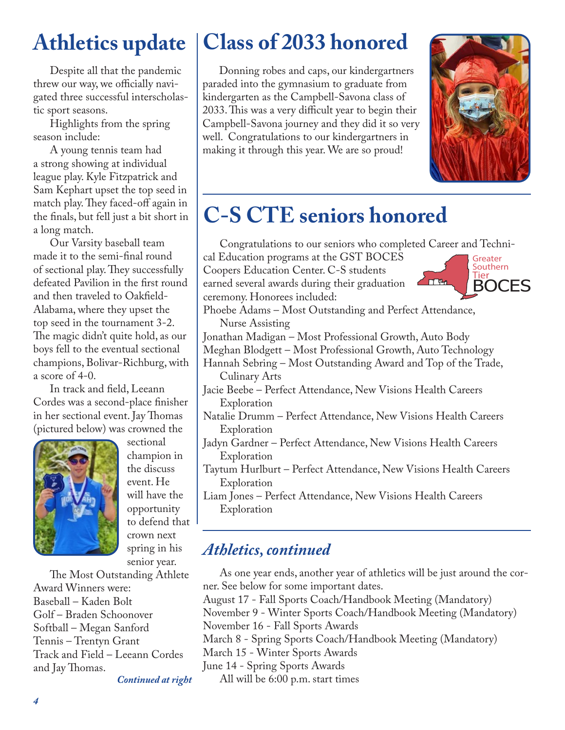Despite all that the pandemic threw our way, we officially navigated three successful interscholastic sport seasons.

Highlights from the spring season include:

A young tennis team had a strong showing at individual league play. Kyle Fitzpatrick and Sam Kephart upset the top seed in match play. They faced-off again in the finals, but fell just a bit short in a long match.

Our Varsity baseball team made it to the semi-final round of sectional play. They successfully defeated Pavilion in the first round and then traveled to Oakfield-Alabama, where they upset the top seed in the tournament 3-2. The magic didn't quite hold, as our boys fell to the eventual sectional champions, Bolivar-Richburg, with a score of 4-0.

In track and field, Leeann Cordes was a second-place finisher in her sectional event. Jay Thomas (pictured below) was crowned the



sectional champion in the discuss event. He will have the opportunity to defend that crown next spring in his senior year.

The Most Outstanding Athlete Award Winners were: Baseball – Kaden Bolt Golf – Braden Schoonover Softball – Megan Sanford Tennis – Trentyn Grant Track and Field – Leeann Cordes and Jay Thomas.

### **Athletics update Class of 2033 honored**

Donning robes and caps, our kindergartners paraded into the gymnasium to graduate from kindergarten as the Campbell-Savona class of 2033. This was a very difficult year to begin their Campbell-Savona journey and they did it so very well. Congratulations to our kindergartners in making it through this year. We are so proud!



### **C-S CTE seniors honored**

Congratulations to our seniors who completed Career and Technical Education programs at the GST BOCES Greater Southern Coopers Education Center. C-S students Tier  $\angle$  m $m$ earned several awards during their graduation **BOCES** ceremony. Honorees included: Phoebe Adams – Most Outstanding and Perfect Attendance, Nurse Assisting Jonathan Madigan – Most Professional Growth, Auto Body Meghan Blodgett – Most Professional Growth, Auto Technology Hannah Sebring – Most Outstanding Award and Top of the Trade, Culinary Arts Jacie Beebe – Perfect Attendance, New Visions Health Careers Exploration Natalie Drumm – Perfect Attendance, New Visions Health Careers Exploration Jadyn Gardner – Perfect Attendance, New Visions Health Careers Exploration Taytum Hurlburt – Perfect Attendance, New Visions Health Careers Exploration Liam Jones – Perfect Attendance, New Visions Health Careers Exploration

### *Athletics, continued*

As one year ends, another year of athletics will be just around the corner. See below for some important dates.

August 17 - Fall Sports Coach/Handbook Meeting (Mandatory) November 9 - Winter Sports Coach/Handbook Meeting (Mandatory) November 16 - Fall Sports Awards March 8 - Spring Sports Coach/Handbook Meeting (Mandatory)

March 15 - Winter Sports Awards June 14 - Spring Sports Awards

*Continued at right* All will be 6:00 p.m. start times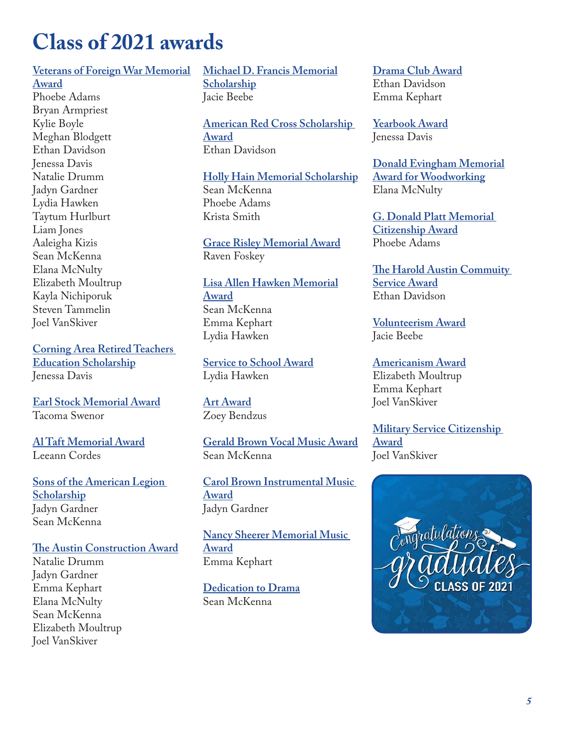### **Class of 2021 awards**

**Veterans of Foreign War Memorial Award**

Phoebe Adams Bryan Armpriest Kylie Boyle Meghan Blodgett Ethan Davidson Jenessa Davis Natalie Drumm Jadyn Gardner Lydia Hawken Taytum Hurlburt Liam Jones Aaleigha Kizis Sean McKenna Elana McNulty Elizabeth Moultrup Kayla Nichiporuk Steven Tammelin Joel VanSkiver

**Corning Area Retired Teachers Education Scholarship** Jenessa Davis

**Earl Stock Memorial Award** Tacoma Swenor

**Al Taft Memorial Award** Leeann Cordes

**Sons of the American Legion Scholarship** Jadyn Gardner Sean McKenna

#### **The Austin Construction Award**

Natalie Drumm Jadyn Gardner Emma Kephart Elana McNulty Sean McKenna Elizabeth Moultrup Joel VanSkiver

**Michael D. Francis Memorial Scholarship** Jacie Beebe

**American Red Cross Scholarship Award** Ethan Davidson

**Holly Hain Memorial Scholarship** Sean McKenna Phoebe Adams Krista Smith

**Grace Risley Memorial Award** Raven Foskey

**Lisa Allen Hawken Memorial Award** Sean McKenna Emma Kephart Lydia Hawken

**Service to School Award** Lydia Hawken

**Art Award** Zoey Bendzus

**Gerald Brown Vocal Music Award** Sean McKenna

**Carol Brown Instrumental Music Award** Jadyn Gardner

**Nancy Sheerer Memorial Music Award** Emma Kephart

**Dedication to Drama** Sean McKenna

**Drama Club Award** Ethan Davidson Emma Kephart

**Yearbook Award** Jenessa Davis

**Donald Evingham Memorial Award for Woodworking** Elana McNulty

**G. Donald Platt Memorial Citizenship Award** Phoebe Adams

**The Harold Austin Commuity Service Award** Ethan Davidson

**Volunteerism Award** Jacie Beebe

**Americanism Award** Elizabeth Moultrup Emma Kephart Joel VanSkiver

**Military Service Citizenship Award** Joel VanSkiver

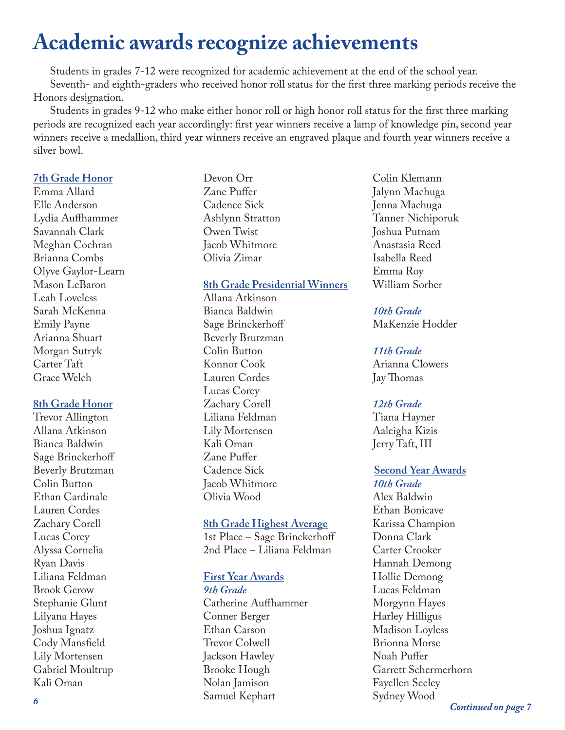### **Academic awards recognize achievements**

Students in grades 7-12 were recognized for academic achievement at the end of the school year. Seventh- and eighth-graders who received honor roll status for the first three marking periods receive the Honors designation.

Students in grades 9-12 who make either honor roll or high honor roll status for the first three marking periods are recognized each year accordingly: first year winners receive a lamp of knowledge pin, second year winners receive a medallion, third year winners receive an engraved plaque and fourth year winners receive a silver bowl.

#### **7th Grade Honor**

Emma Allard Elle Anderson Lydia Auffhammer Savannah Clark Meghan Cochran Brianna Combs Olyve Gaylor-Learn Mason LeBaron Leah Loveless Sarah McKenna Emily Payne Arianna Shuart Morgan Sutryk Carter Taft Grace Welch

#### **8th Grade Honor**

Trevor Allington Allana Atkinson Bianca Baldwin Sage Brinckerhoff Beverly Brutzman Colin Button Ethan Cardinale Lauren Cordes Zachary Corell Lucas Corey Alyssa Cornelia Ryan Davis Liliana Feldman Brook Gerow Stephanie Glunt Lilyana Hayes Joshua Ignatz Cody Mansfield Lily Mortensen Gabriel Moultrup Kali Oman

Devon Orr Zane Puffer Cadence Sick Ashlynn Stratton Owen Twist Jacob Whitmore Olivia Zimar

#### **8th Grade Presidential Winners**

Allana Atkinson Bianca Baldwin Sage Brinckerhoff Beverly Brutzman Colin Button Konnor Cook Lauren Cordes Lucas Corey Zachary Corell Liliana Feldman Lily Mortensen Kali Oman Zane Puffer Cadence Sick Jacob Whitmore Olivia Wood

#### **8th Grade Highest Average**

1st Place – Sage Brinckerhoff 2nd Place – Liliana Feldman

#### **First Year Awards**

*9th Grade* Catherine Auffhammer Conner Berger Ethan Carson Trevor Colwell Jackson Hawley Brooke Hough Nolan Jamison Samuel Kephart

Colin Klemann Jalynn Machuga Jenna Machuga Tanner Nichiporuk Joshua Putnam Anastasia Reed Isabella Reed Emma Roy William Sorber

*10th Grade* MaKenzie Hodder

#### *11th Grade*

Arianna Clowers Jay Thomas

#### *12th Grade*

Tiana Hayner Aaleigha Kizis Jerry Taft, III

#### **Second Year Awards**

*10th Grade* Alex Baldwin Ethan Bonicave Karissa Champion Donna Clark Carter Crooker Hannah Demong Hollie Demong Lucas Feldman Morgynn Hayes Harley Hilligus Madison Loyless Brionna Morse Noah Puffer Garrett Schermerhorn Fayellen Seeley Sydney Wood

*Continued on page 7*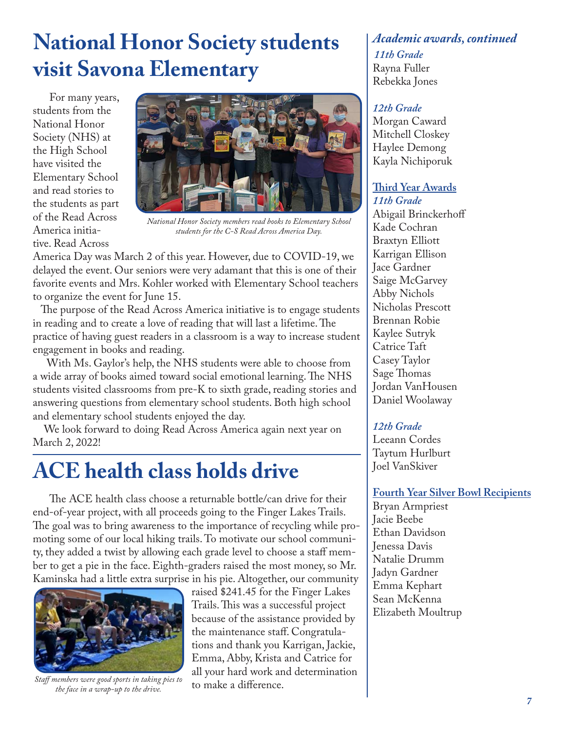### **National Honor Society students visit Savona Elementary**

For many years, students from the National Honor Society (NHS) at the High School have visited the Elementary School and read stories to the students as part of the Read Across America initiative. Read Across



*National Honor Society members read books to Elementary School students for the C-S Read Across America Day.*

America Day was March 2 of this year. However, due to COVID-19, we delayed the event. Our seniors were very adamant that this is one of their favorite events and Mrs. Kohler worked with Elementary School teachers to organize the event for June 15.

 The purpose of the Read Across America initiative is to engage students in reading and to create a love of reading that will last a lifetime. The practice of having guest readers in a classroom is a way to increase student engagement in books and reading.

 With Ms. Gaylor's help, the NHS students were able to choose from a wide array of books aimed toward social emotional learning. The NHS students visited classrooms from pre-K to sixth grade, reading stories and answering questions from elementary school students. Both high school and elementary school students enjoyed the day.

 We look forward to doing Read Across America again next year on March 2, 2022!

### **ACE health class holds drive**

The ACE health class choose a returnable bottle/can drive for their end-of-year project, with all proceeds going to the Finger Lakes Trails. The goal was to bring awareness to the importance of recycling while promoting some of our local hiking trails. To motivate our school community, they added a twist by allowing each grade level to choose a staff member to get a pie in the face. Eighth-graders raised the most money, so Mr. Kaminska had a little extra surprise in his pie. Altogether, our community



Staff members were good sports in taking pies to *the face in a wrap-up to the drive.* 

raised \$241.45 for the Finger Lakes Trails. This was a successful project because of the assistance provided by the maintenance staff. Congratulations and thank you Karrigan, Jackie, Emma, Abby, Krista and Catrice for all your hard work and determination

#### *Academic awards, continued 11th Grade* Rayna Fuller Rebekka Jones

#### *12th Grade*

Morgan Caward Mitchell Closkey Haylee Demong Kayla Nichiporuk

#### **Third Year Awards** *11th Grade*

Abigail Brinckerhoff Kade Cochran Braxtyn Elliott Karrigan Ellison Jace Gardner Saige McGarvey Abby Nichols Nicholas Prescott Brennan Robie Kaylee Sutryk Catrice Taft Casey Taylor Sage Thomas Jordan VanHousen Daniel Woolaway

#### *12th Grade*

Leeann Cordes Taytum Hurlburt Joel VanSkiver

#### **Fourth Year Silver Bowl Recipients**

Bryan Armpriest Jacie Beebe Ethan Davidson Jenessa Davis Natalie Drumm Jadyn Gardner Emma Kephart Sean McKenna Elizabeth Moultrup